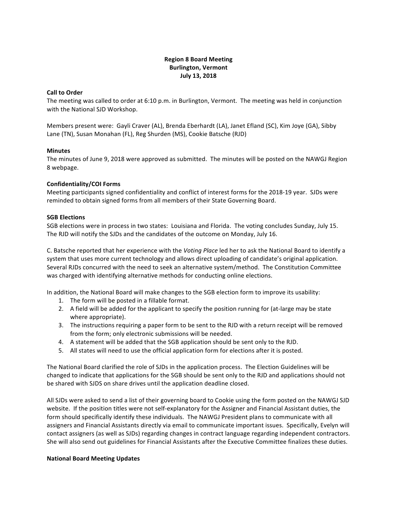# **Region 8 Board Meeting Burlington, Vermont July 13, 2018**

#### **Call to Order**

The meeting was called to order at 6:10 p.m. in Burlington, Vermont. The meeting was held in conjunction with the National SJD Workshop.

Members present were: Gayli Craver (AL), Brenda Eberhardt (LA), Janet Efland (SC), Kim Joye (GA), Sibby Lane (TN), Susan Monahan (FL), Reg Shurden (MS), Cookie Batsche (RJD)

#### **Minutes**

The minutes of June 9, 2018 were approved as submitted. The minutes will be posted on the NAWGJ Region 8 webpage.

# **Confidentiality/COI Forms**

Meeting participants signed confidentiality and conflict of interest forms for the 2018-19 year. SJDs were reminded to obtain signed forms from all members of their State Governing Board.

#### **SGB Elections**

SGB elections were in process in two states: Louisiana and Florida. The voting concludes Sunday, July 15. The RJD will notify the SJDs and the candidates of the outcome on Monday, July 16.

C. Batsche reported that her experience with the *Voting Place* led her to ask the National Board to identify a system that uses more current technology and allows direct uploading of candidate's original application. Several RJDs concurred with the need to seek an alternative system/method. The Constitution Committee was charged with identifying alternative methods for conducting online elections.

In addition, the National Board will make changes to the SGB election form to improve its usability:

- 1. The form will be posted in a fillable format.
- 2. A field will be added for the applicant to specify the position running for (at-large may be state where appropriate).
- 3. The instructions requiring a paper form to be sent to the RJD with a return receipt will be removed from the form; only electronic submissions will be needed.
- 4. A statement will be added that the SGB application should be sent only to the RJD.
- 5. All states will need to use the official application form for elections after it is posted.

The National Board clarified the role of SJDs in the application process. The Election Guidelines will be changed to indicate that applications for the SGB should be sent only to the RJD and applications should not be shared with SJDS on share drives until the application deadline closed.

All SJDs were asked to send a list of their governing board to Cookie using the form posted on the NAWGJ SJD website. If the position titles were not self-explanatory for the Assigner and Financial Assistant duties, the form should specifically identify these individuals. The NAWGJ President plans to communicate with all assigners and Financial Assistants directly via email to communicate important issues. Specifically, Evelyn will contact assigners (as well as SJDs) regarding changes in contract language regarding independent contractors. She will also send out guidelines for Financial Assistants after the Executive Committee finalizes these duties.

#### **National Board Meeting Updates**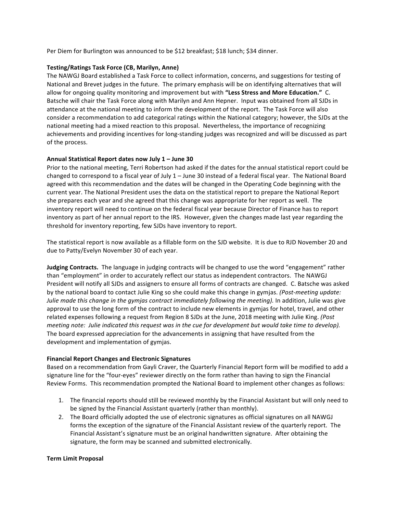Per Diem for Burlington was announced to be \$12 breakfast; \$18 lunch; \$34 dinner.

# **Testing/Ratings Task Force (CB, Marilyn, Anne)**

The NAWGJ Board established a Task Force to collect information, concerns, and suggestions for testing of National and Brevet judges in the future. The primary emphasis will be on identifying alternatives that will allow for ongoing quality monitoring and improvement but with "Less Stress and More Education." C. Batsche will chair the Task Force along with Marilyn and Ann Hepner. Input was obtained from all SJDs in attendance at the national meeting to inform the development of the report. The Task Force will also consider a recommendation to add categorical ratings within the National category; however, the SJDs at the national meeting had a mixed reaction to this proposal. Nevertheless, the importance of recognizing achievements and providing incentives for long-standing judges was recognized and will be discussed as part of the process.

# Annual Statistical Report dates now July 1 - June 30

Prior to the national meeting, Terri Robertson had asked if the dates for the annual statistical report could be changed to correspond to a fiscal year of July  $1 -$  June 30 instead of a federal fiscal year. The National Board agreed with this recommendation and the dates will be changed in the Operating Code beginning with the current year. The National President uses the data on the statistical report to prepare the National Report she prepares each year and she agreed that this change was appropriate for her report as well. The inventory report will need to continue on the federal fiscal year because Director of Finance has to report inventory as part of her annual report to the IRS. However, given the changes made last year regarding the threshold for inventory reporting, few SJDs have inventory to report.

The statistical report is now available as a fillable form on the SJD website. It is due to RJD November 20 and due to Patty/Evelyn November 30 of each year.

**Judging Contracts.** The language in judging contracts will be changed to use the word "engagement" rather than "employment" in order to accurately reflect our status as independent contractors. The NAWGJ President will notify all SJDs and assigners to ensure all forms of contracts are changed. C. Batsche was asked by the national board to contact Julie King so she could make this change in gymjas. (Post-meeting update: *Julie* made this change in the gymjas contract immediately following the meeting). In addition, Julie was give approval to use the long form of the contract to include new elements in gymjas for hotel, travel, and other related expenses following a request from Region 8 SJDs at the June, 2018 meeting with Julie King. *(Post meeting note: Julie indicated this request was in the cue for development but would take time to develop).* The board expressed appreciation for the advancements in assigning that have resulted from the development and implementation of gymjas.

#### **Financial Report Changes and Electronic Signatures**

Based on a recommendation from Gayli Craver, the Quarterly Financial Report form will be modified to add a signature line for the "four-eyes" reviewer directly on the form rather than having to sign the Financial Review Forms. This recommendation prompted the National Board to implement other changes as follows:

- 1. The financial reports should still be reviewed monthly by the Financial Assistant but will only need to be signed by the Financial Assistant quarterly (rather than monthly).
- 2. The Board officially adopted the use of electronic signatures as official signatures on all NAWGJ forms the exception of the signature of the Financial Assistant review of the quarterly report. The Financial Assistant's signature must be an original handwritten signature. After obtaining the signature, the form may be scanned and submitted electronically.

#### **Term Limit Proposal**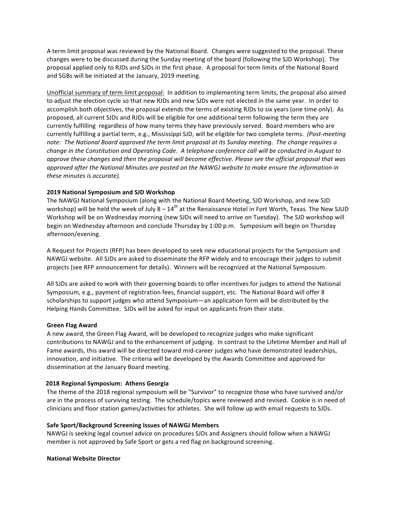A term limit proposal was reviewed by the National Board. Changes were suggested to the proposal. These changes were to be discussed during the Sunday meeting of the board (following the SJD Workshop). The proposal applied only to RJDs and SJDs in the first phase. A proposal for term limits of the National Board and SGBs will be initiated at the January, 2019 meeting.

Unofficial summary of term limit proposal: In addition to implementing term limits, the proposal also aimed to adjust the election cycle so that new RJDs and new SJDs were not elected in the same year. In order to accomplish both objectives, the proposal extends the terms of existing RJDs to six years (one time only). As proposed, all current SJDs and RJDs will be eligible for one additional term following the term they are currently fulfilling regardless of how many terms they have previously served. Board members who are currently fulfilling a partial term, e.g., Mississippi SJD, will be eligible for two complete terms. (Post-meeting note: The National Board approved the term limit proposal at its Sunday meeting. The change requires a *change in the Constitution and Operating Code. A telephone conference call will be conducted in August to approve these changes and then the proposal will become effective. Please see the official proposal that was approved after the National Minutes are posted on the NAWGJ website to make ensure the information in these minutes is accurate).*

# **2019 National Symposium and SJD Workshop**

The NAWGJ National Symposium (along with the National Board Meeting, SJD Workshop, and new SJD workshop) will be held the week of July  $8 - 14$ <sup>th</sup> at the Renaissance Hotel in Fort Worth, Texas. The New SJUD Workshop will be on Wednesday morning (new SJDs will need to arrive on Tuesday). The SJD workshop will begin on Wednesday afternoon and conclude Thursday by 1:00 p.m. Symposium will begin on Thursday afternoon/evening. 

A Request for Projects (RFP) has been developed to seek new educational projects for the Symposium and NAWGJ website. All SJDs are asked to disseminate the RFP widely and to encourage their judges to submit projects (see RFP announcement for details). Winners will be recognized at the National Symposium.

All SJDs are asked to work with their governing boards to offer incentives for judges to attend the National Symposium, e.g., payment of registration fees, financial support, etc. The National Board will offer 8 scholarships to support judges who attend Symposium—an application form will be distributed by the Helping Hands Committee. SJDs will be asked for input on applicants from their state.

#### **Green Flag Award**

A new award, the Green Flag Award, will be developed to recognize judges who make significant contributions to NAWGJ and to the enhancement of judging. In contrast to the Lifetime Member and Hall of Fame awards, this award will be directed toward mid-career judges who have demonstrated leaderships, innovation, and initiative. The criteria will be developed by the Awards Committee and approved for dissemination at the January Board meeting.

#### **2018 Regional Symposium: Athens Georgia**

The theme of the 2018 regional symposium will be "Survivor" to recognize those who have survived and/or are in the process of surviving testing. The schedule/topics were reviewed and revised. Cookie is in need of clinicians and floor station games/activities for athletes. She will follow up with email requests to SJDs.

#### Safe Sport/Background Screening Issues of NAWGJ Members

NAWGJ is seeking legal counsel advice on procedures SJDs and Assigners should follow when a NAWGJ member is not approved by Safe Sport or gets a red flag on background screening.

#### **National Website Director**